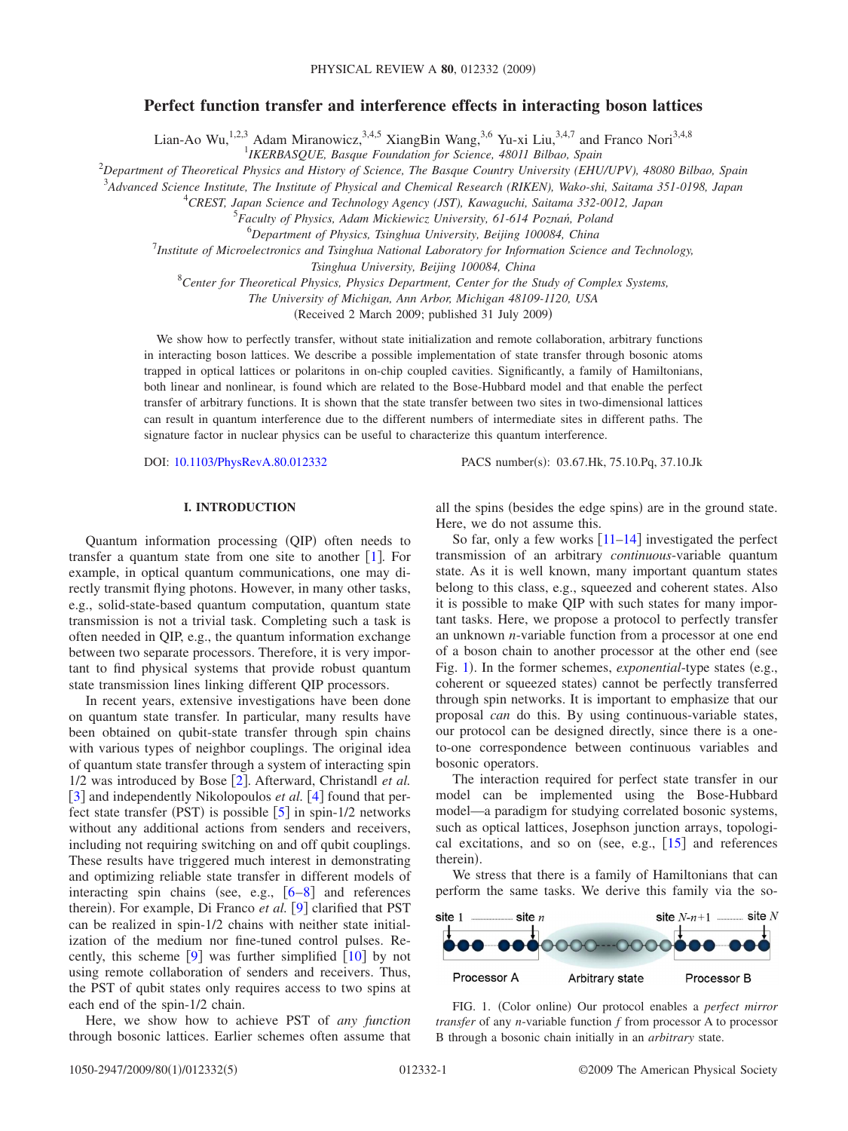# **Perfect function transfer and interference effects in interacting boson lattices**

Lian-Ao Wu,<sup>1,2,3</sup> Adam Miranowicz,<sup>3,4,5</sup> XiangBin Wang,<sup>3,6</sup> Yu-xi Liu,<sup>3,4,7</sup> and Franco Nori<sup>3,4,8</sup><br><sup>1</sup>*IKERBASQUE, Basque Foundation for Science, 48011 Bilbao, Spain* 

2 *Department of Theoretical Physics and History of Science, The Basque Country University (EHU/UPV), 48080 Bilbao, Spain*

3 *Advanced Science Institute, The Institute of Physical and Chemical Research (RIKEN), Wako-shi, Saitama 351-0198, Japan*

4 *CREST, Japan Science and Technology Agency (JST), Kawaguchi, Saitama 332-0012, Japan*

5 *Faculty of Physics, Adam Mickiewicz University, 61-614 Poznań, Poland*

6 *Department of Physics, Tsinghua University, Beijing 100084, China*

7 *Institute of Microelectronics and Tsinghua National Laboratory for Information Science and Technology,*

*Tsinghua University, Beijing 100084, China*

8 *Center for Theoretical Physics, Physics Department, Center for the Study of Complex Systems,*

*The University of Michigan, Ann Arbor, Michigan 48109-1120, USA*

Received 2 March 2009; published 31 July 2009-

We show how to perfectly transfer, without state initialization and remote collaboration, arbitrary functions in interacting boson lattices. We describe a possible implementation of state transfer through bosonic atoms trapped in optical lattices or polaritons in on-chip coupled cavities. Significantly, a family of Hamiltonians, both linear and nonlinear, is found which are related to the Bose-Hubbard model and that enable the perfect transfer of arbitrary functions. It is shown that the state transfer between two sites in two-dimensional lattices can result in quantum interference due to the different numbers of intermediate sites in different paths. The signature factor in nuclear physics can be useful to characterize this quantum interference.

DOI: [10.1103/PhysRevA.80.012332](http://dx.doi.org/10.1103/PhysRevA.80.012332)

PACS number(s): 03.67.Hk, 75.10.Pq, 37.10.Jk

## **I. INTRODUCTION**

Quantum information processing (QIP) often needs to transfer a quantum state from one site to another  $[1]$  $[1]$  $[1]$ . For example, in optical quantum communications, one may directly transmit flying photons. However, in many other tasks, e.g., solid-state-based quantum computation, quantum state transmission is not a trivial task. Completing such a task is often needed in QIP, e.g., the quantum information exchange between two separate processors. Therefore, it is very important to find physical systems that provide robust quantum state transmission lines linking different QIP processors.

In recent years, extensive investigations have been done on quantum state transfer. In particular, many results have been obtained on qubit-state transfer through spin chains with various types of neighbor couplings. The original idea of quantum state transfer through a system of interacting spin 1/[2](#page-4-1) was introduced by Bose [2]. Afterward, Christandl *et al.* [[3](#page-4-2)] and independently Nikolopoulos *et al.* [[4](#page-4-3)] found that perfect state transfer (PST) is possible  $[5]$  $[5]$  $[5]$  in spin-1/2 networks without any additional actions from senders and receivers, including not requiring switching on and off qubit couplings. These results have triggered much interest in demonstrating and optimizing reliable state transfer in different models of interacting spin chains (see, e.g.,  $[6-8]$  $[6-8]$  $[6-8]$  and references therein). For example, Di Franco et al. [[9](#page-4-7)] clarified that PST can be realized in spin-1/2 chains with neither state initialization of the medium nor fine-tuned control pulses. Recently, this scheme  $[9]$  $[9]$  $[9]$  was further simplified  $[10]$  $[10]$  $[10]$  by not using remote collaboration of senders and receivers. Thus, the PST of qubit states only requires access to two spins at each end of the spin-1/2 chain.

Here, we show how to achieve PST of *any function* through bosonic lattices. Earlier schemes often assume that

all the spins (besides the edge spins) are in the ground state. Here, we do not assume this.

So far, only a few works  $\lceil 11-14 \rceil$  $\lceil 11-14 \rceil$  $\lceil 11-14 \rceil$  investigated the perfect transmission of an arbitrary *continuous*-variable quantum state. As it is well known, many important quantum states belong to this class, e.g., squeezed and coherent states. Also it is possible to make QIP with such states for many important tasks. Here, we propose a protocol to perfectly transfer an unknown *n*-variable function from a processor at one end of a boson chain to another processor at the other end (see Fig. [1](#page-0-0)). In the former schemes, *exponential*-type states (e.g., coherent or squeezed states) cannot be perfectly transferred through spin networks. It is important to emphasize that our proposal *can* do this. By using continuous-variable states, our protocol can be designed directly, since there is a oneto-one correspondence between continuous variables and bosonic operators.

The interaction required for perfect state transfer in our model can be implemented using the Bose-Hubbard model—a paradigm for studying correlated bosonic systems, such as optical lattices, Josephson junction arrays, topological excitations, and so on (see, e.g.,  $\lceil 15 \rceil$  $\lceil 15 \rceil$  $\lceil 15 \rceil$  and references therein).

We stress that there is a family of Hamiltonians that can perform the same tasks. We derive this family via the so-

<span id="page-0-0"></span>

FIG. 1. (Color online) Our protocol enables a *perfect mirror transfer* of any *n*-variable function *f* from processor A to processor B through a bosonic chain initially in an *arbitrary* state.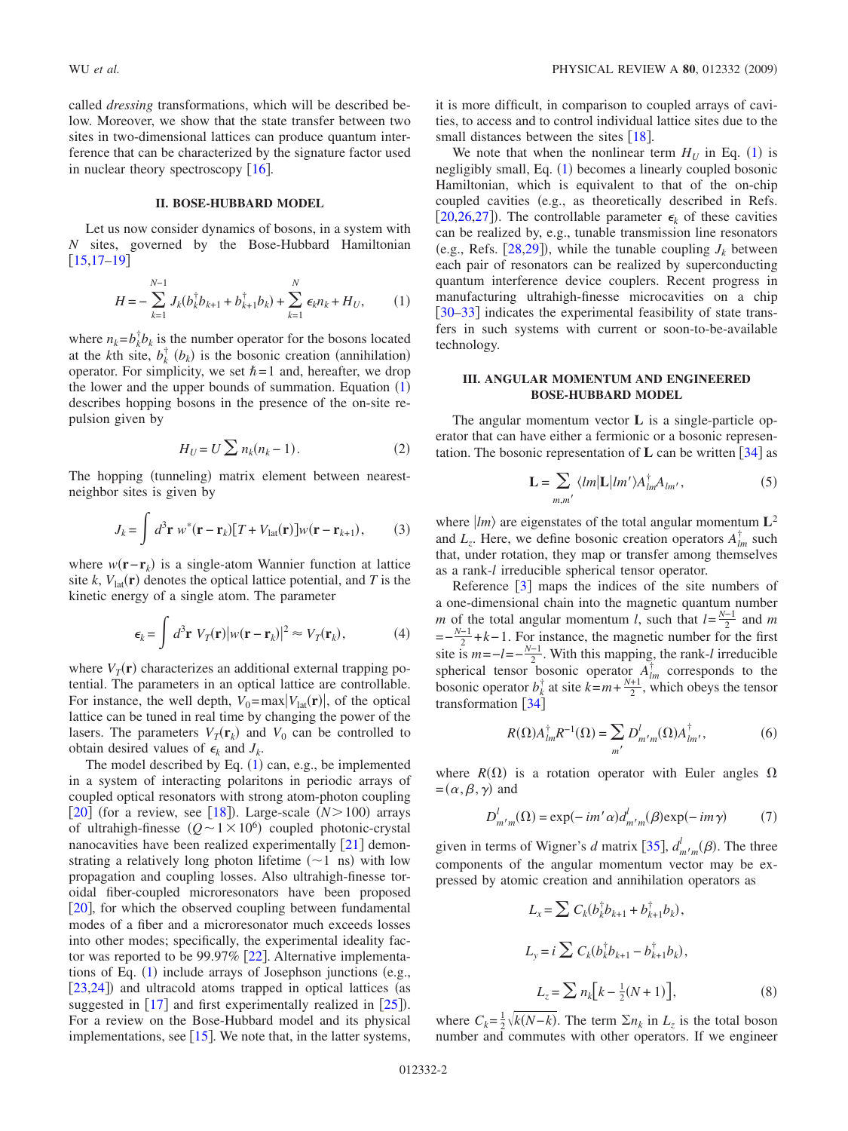called *dressing* transformations, which will be described below. Moreover, we show that the state transfer between two sites in two-dimensional lattices can produce quantum interference that can be characterized by the signature factor used in nuclear theory spectroscopy  $[16]$  $[16]$  $[16]$ .

#### **II. BOSE-HUBBARD MODEL**

Let us now consider dynamics of bosons, in a system with *N* sites, governed by the Bose-Hubbard Hamiltonian  $[15, 17-19]$  $[15, 17-19]$  $[15, 17-19]$ 

<span id="page-1-0"></span>
$$
H = -\sum_{k=1}^{N-1} J_k (b_k^{\dagger} b_{k+1} + b_{k+1}^{\dagger} b_k) + \sum_{k=1}^{N} \epsilon_k n_k + H_U, \qquad (1)
$$

where  $n_k = b_k^{\dagger} b_k$  is the number operator for the bosons located at the *k*th site,  $b_k^{\dagger}$  ( $b_k$ ) is the bosonic creation (annihilation) operator. For simplicity, we set  $\hbar = 1$  and, hereafter, we drop the lower and the upper bounds of summation. Equation  $(1)$  $(1)$  $(1)$ describes hopping bosons in the presence of the on-site repulsion given by

$$
H_U = U \sum n_k (n_k - 1). \tag{2}
$$

The hopping (tunneling) matrix element between nearestneighbor sites is given by

$$
J_k = \int d^3 \mathbf{r} \ w^* (\mathbf{r} - \mathbf{r}_k) [T + V_{\text{lat}}(\mathbf{r})] w(\mathbf{r} - \mathbf{r}_{k+1}), \qquad (3)
$$

where  $w(\mathbf{r}-\mathbf{r}_k)$  is a single-atom Wannier function at lattice site *k*,  $V_{\text{lat}}(\mathbf{r})$  denotes the optical lattice potential, and *T* is the kinetic energy of a single atom. The parameter

$$
\epsilon_k = \int d^3 \mathbf{r} \ V_T(\mathbf{r}) |w(\mathbf{r} - \mathbf{r}_k)|^2 \approx V_T(\mathbf{r}_k), \tag{4}
$$

where  $V_T(\mathbf{r})$  characterizes an additional external trapping potential. The parameters in an optical lattice are controllable. For instance, the well depth,  $V_0 = \max |V_{\text{lat}}(\mathbf{r})|$ , of the optical lattice can be tuned in real time by changing the power of the lasers. The parameters  $V_T(\mathbf{r}_k)$  and  $V_0$  can be controlled to obtain desired values of  $\epsilon_k$  and  $J_k$ .

The model described by Eq.  $(1)$  $(1)$  $(1)$  can, e.g., be implemented in a system of interacting polaritons in periodic arrays of coupled optical resonators with strong atom-photon coupling [ $20$ ] (for a review, see [[18](#page-4-16)]). Large-scale  $(N>100)$  arrays of ultrahigh-finesse  $(Q \sim 1 \times 10^6)$  coupled photonic-crystal nanocavities have been realized experimentally  $\lceil 21 \rceil$  $\lceil 21 \rceil$  $\lceil 21 \rceil$  demonstrating a relatively long photon lifetime  $(-1 \text{ ns})$  with low propagation and coupling losses. Also ultrahigh-finesse toroidal fiber-coupled microresonators have been proposed [[20](#page-4-15)], for which the observed coupling between fundamental modes of a fiber and a microresonator much exceeds losses into other modes; specifically, the experimental ideality factor was reported to be 99.97%  $[22]$  $[22]$  $[22]$ . Alternative implementa-tions of Eq. ([1](#page-1-0)) include arrays of Josephson junctions (e.g., [[23](#page-4-19)[,24](#page-4-20)]) and ultracold atoms trapped in optical lattices (as suggested in  $[17]$  $[17]$  $[17]$  and first experimentally realized in  $[25]$  $[25]$  $[25]$ ). For a review on the Bose-Hubbard model and its physical implementations, see  $[15]$  $[15]$  $[15]$ . We note that, in the latter systems,

it is more difficult, in comparison to coupled arrays of cavities, to access and to control individual lattice sites due to the small distances between the sites  $\lceil 18 \rceil$  $\lceil 18 \rceil$  $\lceil 18 \rceil$ .

We note that when the nonlinear term  $H_U$  in Eq. ([1](#page-1-0)) is negligibly small, Eq. ([1](#page-1-0)) becomes a linearly coupled bosonic Hamiltonian, which is equivalent to that of the on-chip coupled cavities (e.g., as theoretically described in Refs. [[20,](#page-4-15)[26,](#page-4-22)[27](#page-4-23)]). The controllable parameter  $\epsilon_k$  of these cavities can be realized by, e.g., tunable transmission line resonators (e.g., Refs.  $[28,29]$  $[28,29]$  $[28,29]$  $[28,29]$ ), while the tunable coupling  $J_k$  between each pair of resonators can be realized by superconducting quantum interference device couplers. Recent progress in manufacturing ultrahigh-finesse microcavities on a chip [[30](#page-4-26)[–33](#page-4-27)] indicates the experimental feasibility of state transfers in such systems with current or soon-to-be-available technology.

## **III. ANGULAR MOMENTUM AND ENGINEERED BOSE-HUBBARD MODEL**

The angular momentum vector **L** is a single-particle operator that can have either a fermionic or a bosonic representation. The bosonic representation of **L** can be written  $\begin{bmatrix} 34 \end{bmatrix}$  $\begin{bmatrix} 34 \end{bmatrix}$  $\begin{bmatrix} 34 \end{bmatrix}$  as

$$
\mathbf{L} = \sum_{m,m'} \langle lm| \mathbf{L} | lm' \rangle A_{lm}^{\dagger} A_{lm'}, \tag{5}
$$

where  $|m\rangle$  are eigenstates of the total angular momentum  $L^2$ and  $L_z$ . Here, we define bosonic creation operators  $A_{lm}^{\dagger}$  such that, under rotation, they map or transfer among themselves as a rank-*l* irreducible spherical tensor operator.

Reference  $\begin{bmatrix} 3 \end{bmatrix}$  $\begin{bmatrix} 3 \end{bmatrix}$  $\begin{bmatrix} 3 \end{bmatrix}$  maps the indices of the site numbers of a one-dimensional chain into the magnetic quantum number *m* of the total angular momentum *l*, such that  $l = \frac{N-1}{2}$  and *m*  $=-\frac{N-1}{2}+k-1$ . For instance, the magnetic number for the first site is  $m=-l=-\frac{N-1}{2}$ . With this mapping, the rank-*l* irreducible spherical tensor bosonic operator  $A_{lm}^{\dagger}$  corresponds to the bosonic operator  $b_k^{\dagger}$  at site  $k=m+\frac{N+1}{2}$ , which obeys the tensor transformation  $[34]$  $[34]$  $[34]$ 

$$
R(\Omega) A_{lm}^{\dagger} R^{-1}(\Omega) = \sum_{m'} D_{m'm}^{l}(\Omega) A_{lm'}^{\dagger}, \qquad (6)
$$

where  $R(\Omega)$  is a rotation operator with Euler angles  $\Omega$  $=(\alpha,\beta,\gamma)$  and

$$
D_{m'm}^{l}(\Omega) = \exp(-im'\alpha)d_{m'm}^{l}(\beta)\exp(-im\gamma)
$$
 (7)

given in terms of Wigner's *d* matrix [[35](#page-4-29)],  $d'_{m'm}(\beta)$ . The three components of the angular momentum vector may be expressed by atomic creation and annihilation operators as

$$
L_{x} = \sum C_{k} (b_{k}^{\dagger} b_{k+1} + b_{k+1}^{\dagger} b_{k}),
$$
  
\n
$$
L_{y} = i \sum C_{k} (b_{k}^{\dagger} b_{k+1} - b_{k+1}^{\dagger} b_{k}),
$$
  
\n
$$
L_{z} = \sum n_{k} [k - \frac{1}{2}(N+1)],
$$
\n(8)

where  $C_k = \frac{1}{2} \sqrt{k(N-k)}$ . The term  $\Sigma n_k$  in  $L_z$  is the total boson number and commutes with other operators. If we engineer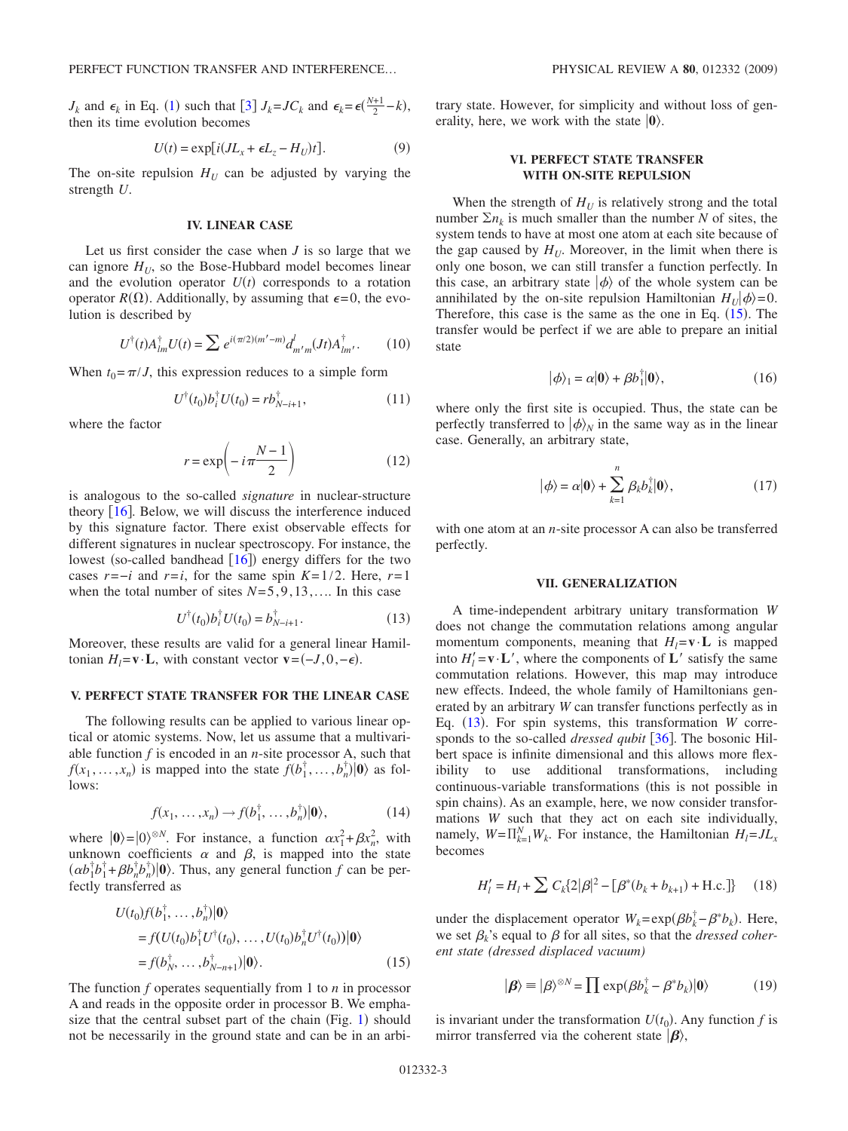$J_k$  and  $\epsilon_k$  in Eq. ([1](#page-1-0)) such that [[3](#page-4-2)]  $J_k = JC_k$  and  $\epsilon_k = \epsilon(\frac{N+1}{2} - k)$ , then its time evolution becomes

$$
U(t) = \exp[i(JL_x + \epsilon L_z - H_U)t].
$$
 (9)

The on-site repulsion  $H_U$  can be adjusted by varying the strength *U*.

#### **IV. LINEAR CASE**

Let us first consider the case when *J* is so large that we can ignore  $H_U$ , so the Bose-Hubbard model becomes linear and the evolution operator  $U(t)$  corresponds to a rotation operator  $R(\Omega)$ . Additionally, by assuming that  $\epsilon = 0$ , the evolution is described by

$$
U^{\dagger}(t)A_{lm}^{\dagger}U(t) = \sum e^{i(\pi/2)(m'-m)}d_{m'm}^{\dagger}(Jt)A_{lm'}^{\dagger}.
$$
 (10)

When  $t_0 = \pi / J$ , this expression reduces to a simple form

$$
U^{\dagger}(t_0)b_i^{\dagger}U(t_0) = rb^{\dagger}_{N-i+1},\tag{11}
$$

<span id="page-2-2"></span>where the factor

$$
r = \exp\left(-i\pi \frac{N-1}{2}\right) \tag{12}
$$

is analogous to the so-called *signature* in nuclear-structure theory  $[16]$  $[16]$  $[16]$ . Below, we will discuss the interference induced by this signature factor. There exist observable effects for different signatures in nuclear spectroscopy. For instance, the lowest (so-called bandhead [[16](#page-4-12)]) energy differs for the two cases  $r = -i$  and  $r = i$ , for the same spin  $K = 1/2$ . Here,  $r = 1$ when the total number of sites  $N=5, 9, 13, \ldots$  In this case

$$
U^{\dagger}(t_0)b_i^{\dagger}U(t_0) = b_{N-i+1}^{\dagger}.
$$
 (13)

<span id="page-2-1"></span>Moreover, these results are valid for a general linear Hamiltonian  $H_l = \mathbf{v} \cdot \mathbf{L}$ , with constant vector  $\mathbf{v} = (-J, 0, -\epsilon)$ .

## **V. PERFECT STATE TRANSFER FOR THE LINEAR CASE**

The following results can be applied to various linear optical or atomic systems. Now, let us assume that a multivariable function *f* is encoded in an *n*-site processor A, such that  $f(x_1, \ldots, x_n)$  is mapped into the state  $\bar{f}(b_1^{\dagger}, \ldots, b_n^{\dagger}) |0\rangle$  as follows:

$$
f(x_1, \ldots, x_n) \to f(b_1^\dagger, \ldots, b_n^\dagger) |0\rangle, \tag{14}
$$

where  $|0\rangle = |0\rangle^{\otimes N}$ . For instance, a function  $\alpha x_1^2 + \beta x_n^2$ , with unknown coefficients  $\alpha$  and  $\beta$ , is mapped into the state  $(\alpha b_1^{\dagger} b_1^{\dagger} + \beta b_n^{\dagger} b_n^{\dagger}) |0\rangle$ . Thus, any general function *f* can be perfectly transferred as

<span id="page-2-0"></span>
$$
U(t_0)f(b_1^{\dagger},\ldots,b_n^{\dagger})|\mathbf{0}\rangle
$$
  
=  $f(U(t_0)b_1^{\dagger}U^{\dagger}(t_0),\ldots,U(t_0)b_n^{\dagger}U^{\dagger}(t_0))|\mathbf{0}\rangle$   
=  $f(b_N^{\dagger},\ldots,b_{N-n+1}^{\dagger})|\mathbf{0}\rangle.$  (15)

The function *f* operates sequentially from 1 to *n* in processor A and reads in the opposite order in processor B. We emphasize that the central subset part of the chain (Fig.  $1$ ) should not be necessarily in the ground state and can be in an arbitrary state. However, for simplicity and without loss of generality, here, we work with the state  $|0\rangle$ .

## **VI. PERFECT STATE TRANSFER WITH ON-SITE REPULSION**

When the strength of  $H_U$  is relatively strong and the total number  $\sum n_k$  is much smaller than the number *N* of sites, the system tends to have at most one atom at each site because of the gap caused by  $H_U$ . Moreover, in the limit when there is only one boson, we can still transfer a function perfectly. In this case, an arbitrary state  $|\phi\rangle$  of the whole system can be annihilated by the on-site repulsion Hamiltonian  $H_U|\phi\rangle = 0$ . Therefore, this case is the same as the one in Eq.  $(15)$  $(15)$  $(15)$ . The transfer would be perfect if we are able to prepare an initial state

$$
|\phi\rangle_1 = \alpha|\mathbf{0}\rangle + \beta b_1^\dagger|\mathbf{0}\rangle,\tag{16}
$$

where only the first site is occupied. Thus, the state can be perfectly transferred to  $|\phi\rangle_N$  in the same way as in the linear case. Generally, an arbitrary state,

$$
|\phi\rangle = \alpha|\mathbf{0}\rangle + \sum_{k=1}^{n} \beta_k b_k^{\dagger} |\mathbf{0}\rangle, \qquad (17)
$$

with one atom at an *n*-site processor A can also be transferred perfectly.

#### **VII. GENERALIZATION**

A time-independent arbitrary unitary transformation *W* does not change the commutation relations among angular momentum components, meaning that  $H_1 = \mathbf{v} \cdot \mathbf{L}$  is mapped into  $H'_l = \mathbf{v} \cdot \mathbf{L}'$ , where the components of  $\mathbf{L}'$  satisfy the same commutation relations. However, this map may introduce new effects. Indeed, the whole family of Hamiltonians generated by an arbitrary *W* can transfer functions perfectly as in Eq. ([13](#page-2-1)). For spin systems, this transformation *W* corresponds to the so-called *dressed qubit* [[36](#page-4-30)]. The bosonic Hilbert space is infinite dimensional and this allows more flexibility to use additional transformations, including continuous-variable transformations (this is not possible in spin chains). As an example, here, we now consider transformations *W* such that they act on each site individually, namely,  $W = \prod_{k=1}^{N} W_k$ . For instance, the Hamiltonian  $H_l = JL_x$ becomes

$$
H'_{l} = H_{l} + \sum C_{k} \{2|\beta|^{2} - [\beta^{*}(b_{k} + b_{k+1}) + \text{H.c.}]\} \qquad (18)
$$

under the displacement operator  $W_k = \exp(\beta b_k^{\dagger} - \beta^* b_k)$ . Here, we set  $\beta_k$ 's equal to  $\beta$  for all sites, so that the *dressed coherent state (dressed displaced vacuum)*

$$
|\boldsymbol{\beta}\rangle \equiv |\beta\rangle^{\otimes N} = \prod \exp(\beta b_k^{\dagger} - \beta^* b_k)|\mathbf{0}\rangle \tag{19}
$$

is invariant under the transformation  $U(t_0)$ . Any function f is mirror transferred via the coherent state  $|\beta\rangle$ ,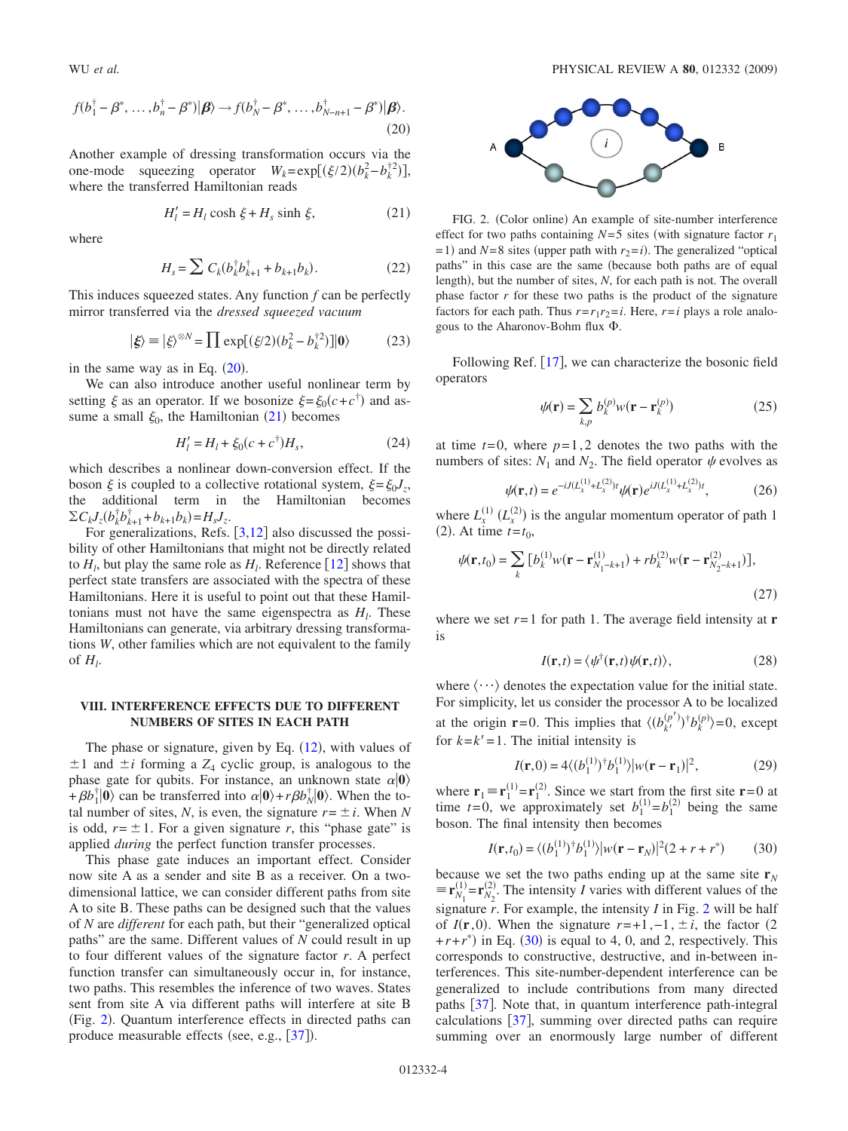<span id="page-3-0"></span>
$$
f(b_1^{\dagger} - \beta^*, \dots, b_n^{\dagger} - \beta^*)|\boldsymbol{\beta}\rangle \rightarrow f(b_N^{\dagger} - \beta^*, \dots, b_{N-n+1}^{\dagger} - \beta^*)|\boldsymbol{\beta}\rangle.
$$
\n(20)

Another example of dressing transformation occurs via the one-mode squeezing operator  $W_k = \exp[(\xi/2)(b_k^2 - b_k^{\dagger 2})]$ , where the transferred Hamiltonian reads

$$
H'_{l} = H_{l} \cosh \xi + H_{s} \sinh \xi, \qquad (21)
$$

<span id="page-3-1"></span>where

$$
H_s = \sum C_k (b_k^{\dagger} b_{k+1}^{\dagger} + b_{k+1} b_k).
$$
 (22)

This induces squeezed states. Any function *f* can be perfectly mirror transferred via the *dressed squeezed vacuum*

$$
|\xi\rangle \equiv |\xi\rangle^{\otimes N} = \prod \exp[(\xi/2)(b_k^2 - b_k^{\dagger 2})]|0\rangle \tag{23}
$$

in the same way as in Eq.  $(20)$  $(20)$  $(20)$ .

We can also introduce another useful nonlinear term by setting  $\xi$  as an operator. If we bosonize  $\xi = \xi_0(c + c^{\dagger})$  and assume a small  $\xi_0$ , the Hamiltonian ([21](#page-3-1)) becomes

$$
H'_{l} = H_{l} + \xi_{0}(c + c^{\dagger})H_{s},
$$
\n(24)

which describes a nonlinear down-conversion effect. If the boson  $\xi$  is coupled to a collective rotational system,  $\xi = \xi_0 J_z$ , the additional term in the Hamiltonian becomes  $\sum C_k J_z (b_k^{\dagger} b_{k+1}^{\dagger} + b_{k+1} b_k) = H_s J_z.$ 

For generalizations, Refs.  $\left[3,12\right]$  $\left[3,12\right]$  $\left[3,12\right]$  $\left[3,12\right]$  also discussed the possibility of other Hamiltonians that might not be directly related to  $H_l$ , but play the same role as  $H_l$ . Reference [[12](#page-4-31)] shows that perfect state transfers are associated with the spectra of these Hamiltonians. Here it is useful to point out that these Hamiltonians must not have the same eigenspectra as  $H_l$ . These Hamiltonians can generate, via arbitrary dressing transformations *W*, other families which are not equivalent to the family of  $H_l$ .

## **VIII. INTERFERENCE EFFECTS DUE TO DIFFERENT NUMBERS OF SITES IN EACH PATH**

The phase or signature, given by Eq.  $(12)$  $(12)$  $(12)$ , with values of  $\pm 1$  and  $\pm i$  forming a  $Z_4$  cyclic group, is analogous to the phase gate for qubits. For instance, an unknown state  $\alpha|0\rangle$  $+\beta b_1^{\dagger} |0\rangle$  can be transferred into  $\alpha |0\rangle + r\beta b_N^{\dagger} |0\rangle$ . When the total number of sites, *N*, is even, the signature  $r = \pm i$ . When *N* is odd,  $r = \pm 1$ . For a given signature *r*, this "phase gate" is applied *during* the perfect function transfer processes.

This phase gate induces an important effect. Consider now site A as a sender and site B as a receiver. On a twodimensional lattice, we can consider different paths from site A to site B. These paths can be designed such that the values of *N* are *different* for each path, but their "generalized optical paths" are the same. Different values of *N* could result in up to four different values of the signature factor *r*. A perfect function transfer can simultaneously occur in, for instance, two paths. This resembles the inference of two waves. States sent from site A via different paths will interfere at site B (Fig. [2](#page-3-2)). Quantum interference effects in directed paths can produce measurable effects (see, e.g., [[37](#page-4-32)]).

<span id="page-3-2"></span>

FIG. 2. (Color online) An example of site-number interference effect for two paths containing  $N=5$  sites (with signature factor  $r_1$ )  $= 1$ ) and *N*=8 sites (upper path with  $r_2 = i$ ). The generalized "optical paths" in this case are the same (because both paths are of equal length), but the number of sites, *N*, for each path is not. The overall phase factor  $r$  for these two paths is the product of the signature factors for each path. Thus  $r=r_1r_2=i$ . Here,  $r=i$  plays a role analogous to the Aharonov-Bohm flux  $\Phi$ .

Following Ref. [[17](#page-4-13)], we can characterize the bosonic field operators

$$
\psi(\mathbf{r}) = \sum_{k,p} b_k^{(p)} w(\mathbf{r} - \mathbf{r}_k^{(p)})
$$
 (25)

at time  $t=0$ , where  $p=1,2$  denotes the two paths with the numbers of sites:  $N_1$  and  $N_2$ . The field operator  $\psi$  evolves as

$$
\psi(\mathbf{r},t) = e^{-iJ(L_x^{(1)} + L_x^{(2)})t} \psi(\mathbf{r}) e^{iJ(L_x^{(1)} + L_x^{(2)})t},\tag{26}
$$

where  $L_x^{(1)}$   $(L_x^{(2)})$  is the angular momentum operator of path 1 (2). At time  $t = t_0$ ,

$$
\psi(\mathbf{r}, t_0) = \sum_{k} \left[ b_k^{(1)} w(\mathbf{r} - \mathbf{r}_{N_1 - k + 1}^{(1)}) + r b_k^{(2)} w(\mathbf{r} - \mathbf{r}_{N_2 - k + 1}^{(2)}) \right],\tag{27}
$$

where we set  $r=1$  for path 1. The average field intensity at **r** is

$$
I(\mathbf{r},t) = \langle \psi^{\dagger}(\mathbf{r},t)\psi(\mathbf{r},t) \rangle, \tag{28}
$$

where  $\langle \cdots \rangle$  denotes the expectation value for the initial state. For simplicity, let us consider the processor A to be localized at the origin **r**=0. This implies that  $\langle (b_k^{(p)})^{\dagger} b_k^{(p)} \rangle = 0$ , except for  $k=k'=1$ . The initial intensity is

$$
I(\mathbf{r},0) = 4\langle (b_1^{(1)})^{\dagger} b_1^{(1)} \rangle |w(\mathbf{r} - \mathbf{r}_1)|^2, \tag{29}
$$

where  $\mathbf{r}_1 = \mathbf{r}_1^{(1)} = \mathbf{r}_1^{(2)}$ . Since we start from the first site  $\mathbf{r} = 0$  at time  $t=0$ , we approximately set  $b_1^{(1)}=b_1^{(2)}$  being the same boson. The final intensity then becomes

$$
I(\mathbf{r}, t_0) = \langle (b_1^{(1)})^\dagger b_1^{(1)} \rangle |w(\mathbf{r} - \mathbf{r}_N)|^2 (2 + r + r^*) \tag{30}
$$

<span id="page-3-3"></span>because we set the two paths ending up at the same site  $\mathbf{r}_N$  $\equiv \mathbf{r}_{N_1}^{(1)} = \mathbf{r}_{N_2}^{(2)}$ . The intensity *I* varies with different values of the signature *r*. For example, the intensity *I* in Fig. [2](#page-3-2) will be half of  $I(\mathbf{r},0)$ . When the signature  $r=+1,-1, \pm i$ , the factor (2  $+r+r^*$ ) in Eq. ([30](#page-3-3)) is equal to 4, 0, and 2, respectively. This corresponds to constructive, destructive, and in-between interferences. This site-number-dependent interference can be generalized to include contributions from many directed paths  $\lceil 37 \rceil$  $\lceil 37 \rceil$  $\lceil 37 \rceil$ . Note that, in quantum interference path-integral calculations  $\left|37\right|$  $\left|37\right|$  $\left|37\right|$ , summing over directed paths can require summing over an enormously large number of different